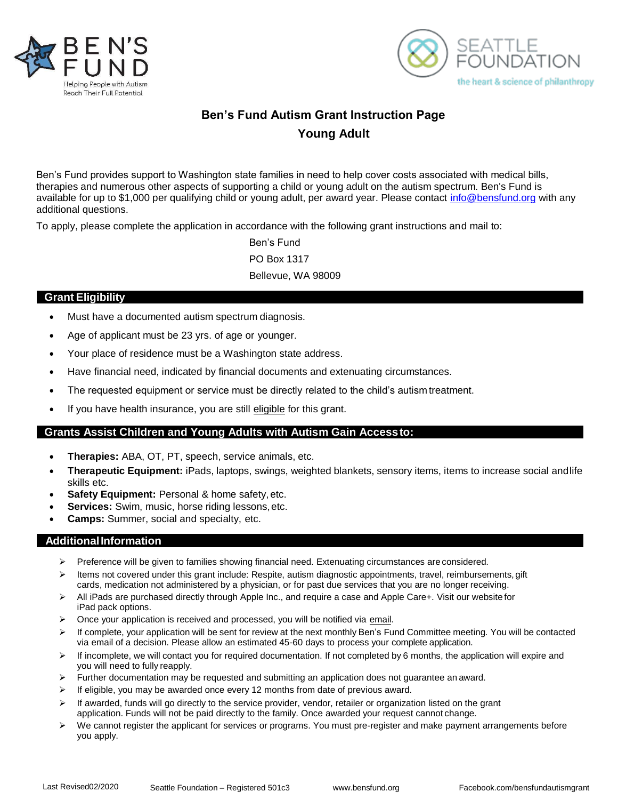



# **Ben's Fund Autism Grant Instruction Page Young Adult**

Ben's Fund provides support to Washington state families in need to help cover costs associated with medical bills, therapies and numerous other aspects of supporting a child or young adult on the autism spectrum. Ben's Fund is available for up to \$1,000 per qualifying child or young adult, per award year. Please contact [info@bensfund.org](mailto:info@bensfund.org) with any additional questions.

To apply, please complete the application in accordance with the following grant instructions and mail to:

Ben's Fund PO Box 1317 Bellevue, WA 98009

### **Grant Eligibility**

- Must have a documented autism spectrum diagnosis.
- Age of applicant must be 23 yrs. of age or younger.
- Your place of residence must be a Washington state address.
- Have financial need, indicated by financial documents and extenuating circumstances.
- The requested equipment or service must be directly related to the child's autism treatment.
- If you have health insurance, you are still eligible for this grant.

#### **Grants Assist Children and Young Adults with Autism Gain Accessto:**

- **Therapies:** ABA, OT, PT, speech, service animals, etc.
- **Therapeutic Equipment:** iPads, laptops, swings, weighted blankets, sensory items, items to increase social andlife skills etc.
- Safety Equipment: Personal & home safety, etc.
- **Services:** Swim, music, horse riding lessons, etc.
- **Camps:** Summer, social and specialty, etc.

#### **AdditionalInformation**

- ➢ Preference will be given to families showing financial need. Extenuating circumstances are considered.
- ➢ Items not covered under this grant include: Respite, autism diagnostic appointments, travel, reimbursements, gift cards, medication not administered by a physician, or for past due services that you are no longer receiving.
- ➢ All iPads are purchased directly through Apple Inc., and require a case and Apple Care+. Visit our website for iPad pack options.
- $\triangleright$  Once your application is received and processed, you will be notified via email.
- ➢ If complete, your application will be sent for review at the next monthly Ben's Fund Committee meeting. You will be contacted via email of a decision. Please allow an estimated 45-60 days to process your complete application.
- ➢ If incomplete, we will contact you for required documentation. If not completed by 6 months, the application will expire and you will need to fully reapply.
- $\triangleright$  Further documentation may be requested and submitting an application does not guarantee an award.
- $\triangleright$  If eligible, you may be awarded once every 12 months from date of previous award.
- $\triangleright$  If awarded, funds will go directly to the service provider, vendor, retailer or organization listed on the grant application. Funds will not be paid directly to the family. Once awarded your request cannot change.
- $\triangleright$  We cannot register the applicant for services or programs. You must pre-register and make payment arrangements before you apply.